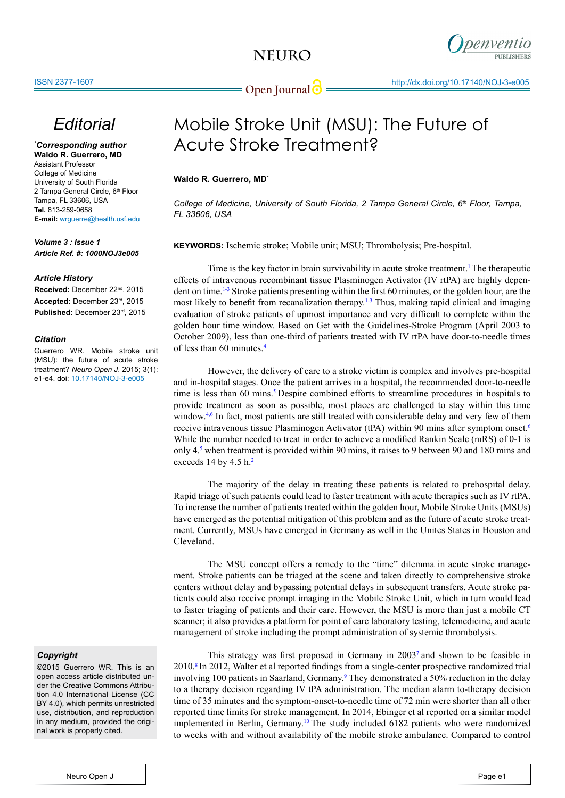

# *Editorial*

*\* Corresponding author* **Waldo R. Guerrero, MD** Assistant Professor College of Medicine University of South Florida 2 Tampa General Circle, 6<sup>th</sup> Floor Tampa, FL 33606, USA **Tel.** 813-259-0658 **E-mail:** wrguerre@health.usf.edu

*Volume 3 : Issue 1 Article Ref. #: 1000NOJ3e005*

### *Article History*

**Received:** December 22nd, 2015 **Accepted:** December 23rd, 2015 **Published:** December 23rd, 2015

## *Citation*

Guerrero WR. Mobile stroke unit (MSU): the future of acute stroke treatment? *Neuro Open J*. 2015; 3(1): e1-e4. doi: 10.17140/NOJ-3-e005

## *Copyright*

©2015 Guerrero WR. This is an open access article distributed under the Creative Commons Attribution 4.0 International License (CC BY 4.0), which permits unrestricted use, distribution, and reproduction in any medium, provided the original work is properly cited.

# Mobile Stroke Unit (MSU): The Future of Acute Stroke Treatment?

## **Waldo R. Guerrero, MD\***

*College of Medicine, University of South Florida, 2 Tampa General Circle, 6th Floor, Tampa, FL 33606, USA*

**KEYWORDS:** Ischemic stroke; Mobile unit; MSU; Thrombolysis; Pre-hospital.

Time is the key factor in brain survivability in acute stroke treatment.<sup>1</sup> The therapeutic effects of intravenous recombinant tissue Plasminogen Activator (IV rtPA) are highly dependent on time[.1-3](#page-1-0) Stroke patients presenting within the first 60 minutes, or the golden hour, are the most likely to benefit from recanalization therapy.<sup>[1-3](#page-1-0)</sup> Thus, making rapid clinical and imaging evaluation of stroke patients of upmost importance and very difficult to complete within the golden hour time window. Based on Get with the Guidelines-Stroke Program (April 2003 to October 2009), less than one-third of patients treated with IV rtPA have door-to-needle times of less than 60 minutes.[4](#page-2-0)

However, the delivery of care to a stroke victim is complex and involves pre-hospital and in-hospital stages. Once the patient arrives in a hospital, the recommended door-to-needle time is less than 60 mins.<sup>[5](#page-2-1)</sup> Despite combined efforts to streamline procedures in hospitals to provide treatment as soon as possible, most places are challenged to stay within this time window.<sup>[4,](#page-2-0)6</sup> In fact, most patients are still treated with considerable delay and very few of them receive intravenous tissue Plasminogen Activator (tPA) within 90 mins after symptom onset[.6](#page-2-2) While the number needed to treat in order to achieve a modified Rankin Scale (mRS) of 0-1 is only 4.[5](#page-2-1) when treatment is provided within 90 mins, it raises to 9 between 90 and 180 mins and exceeds 14 by 4.5  $h<sup>2</sup>$  $h<sup>2</sup>$  $h<sup>2</sup>$ 

The majority of the delay in treating these patients is related to prehospital delay. Rapid triage of such patients could lead to faster treatment with acute therapies such as IV rtPA. To increase the number of patients treated within the golden hour, Mobile Stroke Units (MSUs) have emerged as the potential mitigation of this problem and as the future of acute stroke treatment. Currently, MSUs have emerged in Germany as well in the Unites States in Houston and Cleveland.

The MSU concept offers a remedy to the "time" dilemma in acute stroke management. Stroke patients can be triaged at the scene and taken directly to comprehensive stroke centers without delay and bypassing potential delays in subsequent transfers. Acute stroke patients could also receive prompt imaging in the Mobile Stroke Unit, which in turn would lead to faster triaging of patients and their care. However, the MSU is more than just a mobile CT scanner; it also provides a platform for point of care laboratory testing, telemedicine, and acute management of stroke including the prompt administration of systemic thrombolysis.

This strategy was first proposed in Germany in 2003[7](#page-2-3) and shown to be feasible in 2010.[8](#page-2-4) In 2012, Walter et al reported findings from a single-center prospective randomized trial involving 100 patients in Saarland, Germany.<sup>[9](#page-2-5)</sup> They demonstrated a 50% reduction in the delay to a therapy decision regarding IV tPA administration. The median alarm to-therapy decision time of 35 minutes and the symptom-onset-to-needle time of 72 min were shorter than all other reported time limits for stroke management. In 2014, Ebinger et al reported on a similar model implemented in Berlin, Germany[.10](#page-2-6) The study included 6182 patients who were randomized to weeks with and without availability of the mobile stroke ambulance. Compared to control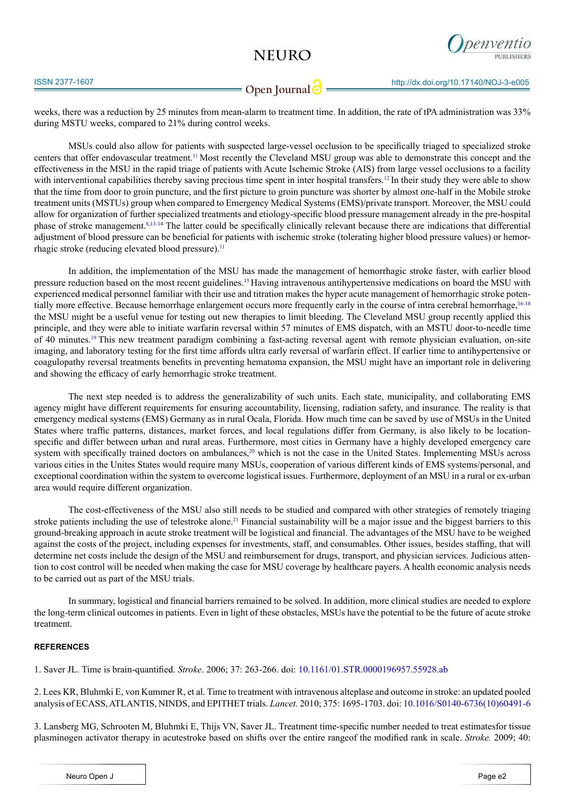# **NEURO**



## **Open Journal**

weeks, there was a reduction by 25 minutes from mean-alarm to treatment time. In addition, the rate of tPA administration was 33% during MSTU weeks, compared to 21% during control weeks.

MSUs could also allow for patients with suspected large-vessel occlusion to be specifically triaged to specialized stroke centers that offer endovascular treatment.<sup>11</sup> Most recently the Cleveland MSU group was able to demonstrate this concept and the effectiveness in the MSU in the rapid triage of patients with Acute Ischemic Stroke (AIS) from large vessel occlusions to a facility with interventional capabilities thereby saving precious time spent in inter hospital transfers.<sup>[12](#page-2-8)</sup> In their study they were able to show that the time from door to groin puncture, and the first picture to groin puncture was shorter by almost one-half in the Mobile stroke treatment units (MSTUs) group when compared to Emergency Medical Systems (EMS)/private transport. Moreover, the MSU could allow for organization of further specialized treatments and etiology-specific blood pressure management already in the pre-hospital phase of stroke management.[8](#page-2-4)[,13-14](#page-2-9) The latter could be specifically clinically relevant because there are indications that differential adjustment of blood pressure can be beneficial for patients with ischemic stroke (tolerating higher blood pressure values) or hemorrhagic stroke (reducing elevated blood pressure). $<sup>11</sup>$ </sup>

In addition, the implementation of the MSU has made the management of hemorrhagic stroke faster, with earlier blood pressure reduction based on the most recent guidelines[.15](#page-2-10) Having intravenous antihypertensive medications on board the MSU with experienced medical personnel familiar with their use and titration makes the hyper acute management of hemorrhagic stroke poten-tially more effective. Because hemorrhage enlargement occurs more frequently early in the course of intra cerebral hemorrhage,<sup>[16-18](#page-2-11)</sup> the MSU might be a useful venue for testing out new therapies to limit bleeding. The Cleveland MSU group recently applied this principle, and they were able to initiate warfarin reversal within 57 minutes of EMS dispatch, with an MSTU door-to-needle time of 40 minutes.[19](#page-2-12) This new treatment paradigm combining a fast-acting reversal agent with remote physician evaluation, on-site imaging, and laboratory testing for the first time affords ultra early reversal of warfarin effect. If earlier time to antihypertensive or coagulopathy reversal treatments benefits in preventing hematoma expansion, the MSU might have an important role in delivering and showing the efficacy of early hemorrhagic stroke treatment.

The next step needed is to address the generalizability of such units. Each state, municipality, and collaborating EMS agency might have different requirements for ensuring accountability, licensing, radiation safety, and insurance. The reality is that emergency medical systems (EMS) Germany as in rural Ocala, Florida. How much time can be saved by use of MSUs in the United States where traffic patterns, distances, market forces, and local regulations differ from Germany, is also likely to be locationspecific and differ between urban and rural areas. Furthermore, most cities in Germany have a highly developed emergency care system with specifically trained doctors on ambulances,<sup>[20](#page-3-0)</sup> which is not the case in the United States. Implementing MSUs across various cities in the Unites States would require many MSUs, cooperation of various different kinds of EMS systems/personal, and exceptional coordination within the system to overcome logistical issues. Furthermore, deployment of an MSU in a rural or ex-urban area would require different organization.

The cost-effectiveness of the MSU also still needs to be studied and compared with other strategies of remotely triaging stroke patients including the use of telestroke alone.<sup>[21](#page-3-1)</sup> Financial sustainability will be a major issue and the biggest barriers to this ground-breaking approach in acute stroke treatment will be logistical and financial. The advantages of the MSU have to be weighed against the costs of the project, including expenses for investments, staff, and consumables. Other issues, besides staffing, that will determine net costs include the design of the MSU and reimbursement for drugs, transport, and physician services. Judicious attention to cost control will be needed when making the case for MSU coverage by healthcare payers. A health economic analysis needs to be carried out as part of the MSU trials.

In summary, logistical and financial barriers remained to be solved. In addition, more clinical studies are needed to explore the long-term clinical outcomes in patients. Even in light of these obstacles, MSUs have the potential to be the future of acute stroke treatment.

### **REFERENCES**

<span id="page-1-0"></span>1. Saver JL. Time is brain-quantified. *Stroke*. 2006; 37: 263-266. doi: [10.1161/01.STR.0000196957.55928.ab](http://stroke.ahajournals.org/content/37/1/263.long)

<span id="page-1-1"></span>2. Lees KR, Bluhmki E, von Kummer R, et al. Time to treatment with intravenous alteplase and outcome in stroke: an updated pooled analysis of ECASS, ATLANTIS, NINDS, and EPITHET trials. *Lancet.* 2010; 375: 1695-1703. doi: [10.1016/S0140-6736\(10\)60491-6](http://www.ncbi.nlm.nih.gov/pubmed/20472172)

3. Lansberg MG, Schrooten M, Bluhmki E, Thijs VN, Saver JL. Treatment time-specific number needed to treat estimatesfor tissue plasminogen activator therapy in acutestroke based on shifts over the entire rangeof the modified rank in scale. *Stroke.* 2009; 40: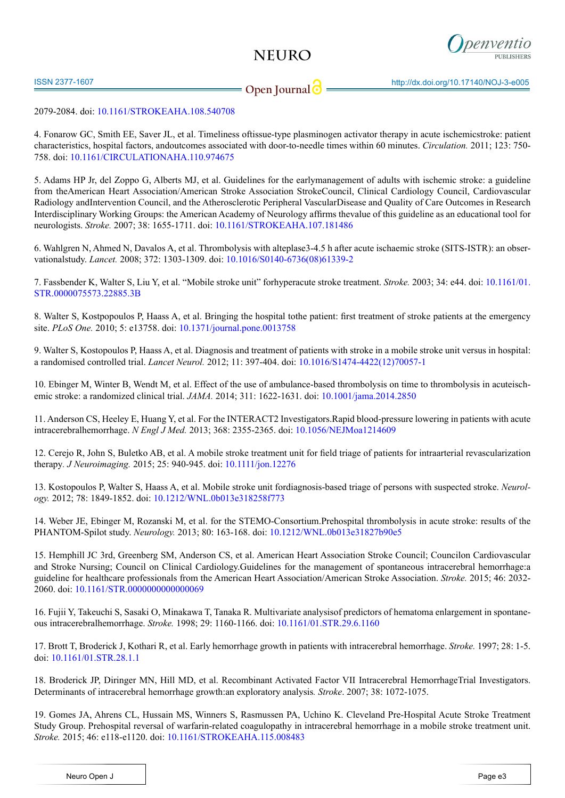# **NEURO**



ISSN 2377-1607 http://dx.doi.org/10.17140/NOJ-3-e005

## **Open Journal**

## 2079-2084. doi: [10.1161/STROKEAHA.108.540708](http://www.ncbi.nlm.nih.gov/pubmed/19372447)

<span id="page-2-0"></span>4. Fonarow GC, Smith EE, Saver JL, et al. Timeliness oftissue-type plasminogen activator therapy in acute ischemicstroke: patient characteristics, hospital factors, andoutcomes associated with door-to-needle times within 60 minutes. *Circulation.* 2011; 123: 750- 758. doi: [10.1161/CIRCULATIONAHA.110.974675](http://www.ncbi.nlm.nih.gov/pubmed/21311083)

<span id="page-2-1"></span>5. Adams HP Jr, del Zoppo G, Alberts MJ, et al. Guidelines for the earlymanagement of adults with ischemic stroke: a guideline from theAmerican Heart Association/American Stroke Association StrokeCouncil, Clinical Cardiology Council, Cardiovascular Radiology andIntervention Council, and the Atherosclerotic Peripheral VascularDisease and Quality of Care Outcomes in Research Interdisciplinary Working Groups: the American Academy of Neurology affirms thevalue of this guideline as an educational tool for neurologists. *Stroke.* 2007; 38: 1655-1711. doi: [10.1161/STROKEAHA.107.181486](http://stroke.ahajournals.org/content/38/5/1655.long) 

<span id="page-2-2"></span>6. Wahlgren N, Ahmed N, Davalos A, et al. Thrombolysis with alteplase3-4.5 h after acute ischaemic stroke (SITS-ISTR): an observationalstudy. *Lancet.* 2008; 372: 1303-1309. doi: [10.1016/S0140-6736\(08\)61339-2](http://www.ncbi.nlm.nih.gov/pubmed/18790527)

<span id="page-2-3"></span>7. Fassbender K, Walter S, Liu Y, et al. "Mobile stroke unit" forhyperacute stroke treatment. *Stroke.* 2003; 34: e44. doi: [10.1161/01.](http://stroke.ahajournals.org/content/34/6/e44.long) [STR.0000075573.22885.3B](http://stroke.ahajournals.org/content/34/6/e44.long) 

<span id="page-2-4"></span>8. Walter S, Kostpopoulos P, Haass A, et al. Bringing the hospital tothe patient: first treatment of stroke patients at the emergency site. *PLoS One.* 2010; 5: e13758. doi: [10.1371/journal.pone.0013758](http://www.ncbi.nlm.nih.gov/pubmed/21060800)

<span id="page-2-5"></span>9. Walter S, Kostopoulos P, Haass A, et al. Diagnosis and treatment of patients with stroke in a mobile stroke unit versus in hospital: a randomised controlled trial. *Lancet Neurol.* 2012; 11: 397-404. doi: [10.1016/S1474-4422\(12\)70057-1](http://www.thelancet.com/journals/lanneurol/article/PIIS1474-4422%2812%2970057-1/abstract)

<span id="page-2-6"></span>10. Ebinger M, Winter B, Wendt M, et al. Effect of the use of ambulance-based thrombolysis on time to thrombolysis in acuteischemic stroke: a randomized clinical trial. *JAMA.* 2014; 311: 1622-1631. doi: [10.1001/jama.2014.2850](http://www.ncbi.nlm.nih.gov/pubmed/24756512)

<span id="page-2-7"></span>11. Anderson CS, Heeley E, Huang Y, et al. For the INTERACT2 Investigators.Rapid blood-pressure lowering in patients with acute intracerebralhemorrhage. *N Engl J Med.* 2013; 368: 2355-2365. doi: [10.1056/NEJMoa1214609](http://www.ncbi.nlm.nih.gov/pubmed/23713578)

<span id="page-2-8"></span>12. Cerejo R, John S, Buletko AB, et al. A mobile stroke treatment unit for field triage of patients for intraarterial revascularization therapy*. J Neuroimaging.* 2015; 25: 940-945. doi: [10.1111/jon.12276](http://www.ncbi.nlm.nih.gov/pubmed/26179631) 

<span id="page-2-9"></span>13. Kostopoulos P, Walter S, Haass A, et al. Mobile stroke unit fordiagnosis-based triage of persons with suspected stroke. *Neurology.* 2012; 78: 1849-1852. doi: [10.1212/WNL.0b013e318258f773](http://www.ncbi.nlm.nih.gov/pubmed/22592363)

14. Weber JE, Ebinger M, Rozanski M, et al. for the STEMO-Consortium.Prehospital thrombolysis in acute stroke: results of the PHANTOM-Spilot study. *Neurology.* 2013; 80: 163-168. doi: [10.1212/WNL.0b013e31827b90e5](http://www.ncbi.nlm.nih.gov/pubmed/23223534)

<span id="page-2-10"></span>15. Hemphill JC 3rd, Greenberg SM, Anderson CS, et al. American Heart Association Stroke Council; Councilon Cardiovascular and Stroke Nursing; Council on Clinical Cardiology.Guidelines for the management of spontaneous intracerebral hemorrhage:a guideline for healthcare professionals from the American Heart Association/American Stroke Association. *Stroke.* 2015; 46: 2032- 2060. doi: [10.1161/STR.0000000000000069](http://stroke.ahajournals.org/content/early/2015/05/28/STR.0000000000000069)

<span id="page-2-11"></span>16. Fujii Y, Takeuchi S, Sasaki O, Minakawa T, Tanaka R. Multivariate analysisof predictors of hematoma enlargement in spontaneous intracerebralhemorrhage. *Stroke.* 1998; 29: 1160-1166. doi: [10.1161/01.STR.29.6.1160](http://stroke.ahajournals.org/content/29/6/1160.long) 

17. Brott T, Broderick J, Kothari R, et al. Early hemorrhage growth in patients with intracerebral hemorrhage. *Stroke.* 1997; 28: 1-5. doi: [10.1161/01.STR.28.1.1](http://stroke.ahajournals.org/content/28/1/1.long)

18. Broderick JP, Diringer MN, Hill MD, et al. Recombinant Activated Factor VII Intracerebral HemorrhageTrial Investigators. Determinants of intracerebral hemorrhage growth:an exploratory analysis*. Stroke*. 2007; 38: 1072-1075.

<span id="page-2-12"></span>19. Gomes JA, Ahrens CL, Hussain MS, Winners S, Rasmussen PA, Uchino K. Cleveland Pre-Hospital Acute Stroke Treatment Study Group. Prehospital reversal of warfarin-related coagulopathy in intracerebral hemorrhage in a mobile stroke treatment unit. *Stroke.* 2015; 46: e118-e1120. doi: [10.1161/STROKEAHA.115.008483](http://www.ncbi.nlm.nih.gov/pubmed/25873600)